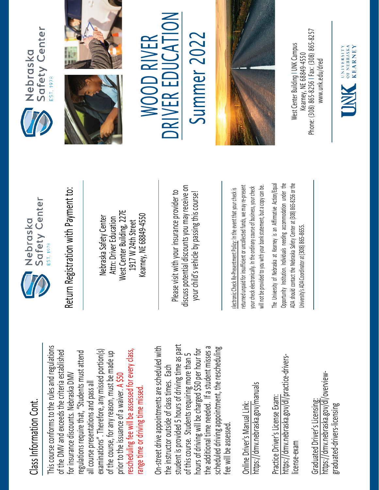## Class Information Cont. Class Information Cont.

This course conforms to the rules and regulations This course conforms to the rules and regulations rescheduling fee will be assessed for every class, examinations". Therefore, any missed portion(s) of the DMV and exceeds the criteria established regulations require that, "Students must attend rescheduling fee will be assessed for every class, of the DMV and exceeds the criteria established examinations". Therefore, any missed portion(s) of the course, for any reason, must be made up regulations require that, "Students must attend of the course, for any reason, must be made up for insurance discounts. Nebraska DMV for insurance discounts. Nebraska DMV prior to the issuance of a waiver. A \$50 all course presentations and pass all all course presentations and pass all range time or driving time missed. range time or driving time missed. prior to the issuance of a waiver.

student is provided 5 hours of driving time as part On-street drive appointments are scheduled with student is provided 5 hours of driving time as part the additional time needed. If a student misses a scheduled driving appointment, the rescheduling the additional time needed. If a student misses a On-street drive appointments are scheduled with hours of driving will be charged \$50 per hour for scheduled driving appointment, the rescheduling hours of driving will be charged \$50 per hour for of this course. Students requiring more than 5 of this course. Students requiring more than 5 the instructor outside of class times. Each the instructor outside of class times. Each fee will be assessed. fee will be assessed

https://dmv.nebraska.gov/manuals https://dmv.nebraska.gov/manuals Online Driver's Manual Link: Online Driver's Manual Link:

https://dmv.nebraska.gov/dl/practice-drivershttps://dmv.nebraska.gov/dl/practice-drivers-Practice Driver's License Exam: Practice Driver's License Exam: license-exam icense-exam

https://dmv.nebraska.gov/dl/overviewhttps://dmv.nebraska.gov/dl/overview-Graduated Driver's Licensing: Graduated Driver's Licensing: graduated-drivers-licensing graduated-drivers-licensing



Nebraska Safety Center Attn: Driver Education West Center Building, 227E 1917 W 24th Street Kearney, NE 68849-4550

Please visit with your insurance provider to discuss potential discounts you may receive on your child's vehicle by passing this course! Return Registration with Payment to:<br>
Nebraska Safety Center<br>
Attn: Driver Education<br>
1917 W 24th Street<br>
Rearney, NE 68849-4550<br>
Rease visit with your insurance provider to<br>
Please visit with your insurance provider to<br>
y

returned unpaid for insufficient or uncollected funds, we may re-present a copy can be. returned unpaid for insufficient or uncollected funds, we may re-present will not be provided to you with your bank statement, but a copy can be. your check electronically. In the ordinary course of business, your check your check electronically. In the ordinary course of business, your check will not be provided to you with your bank statement, but

The University of Nebraska at Kearney is an Affirmative Action/Equal The University of Nebraska at Kearney is an Affirmative Action/Equal Opportunity Institution. Individuals needing accommodation under the ADA should contact the Nebraska Safety Center at (308) 865-8256 or the Opportunity Institution. Individuals needing accommodation under the ADA should contact the Nebraska Safety Center at (308) 865-8256 or the Jniversity's ADA Coordinator at (308) 865-8655. University's ADA Coordinator at (308) 86







 $\sum_{i=1}^{n}$ WOOD RIVER WOOD RIVER R EDUCA E RIV D



Phone: (308) 865-8256 | Fax: (308) 865-8257 West Center Building I UNK Campus Nest Center Building I UNK Campus -8256 I Fax: (308) 865 Kearney, NE 68849-4550 www.unk.edu/dred [www.unk.edu/dred](http://www.unk.edu/dred) Kearney, NE 68849 Phone: (308) 865

UNIVERSITY<br>
OF NEBRASKA<br>
KFARNEY

**KEARNEY**